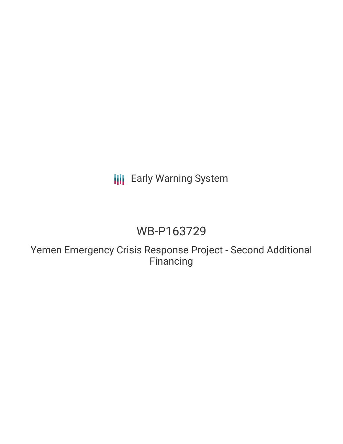# **III** Early Warning System

# WB-P163729

Yemen Emergency Crisis Response Project - Second Additional Financing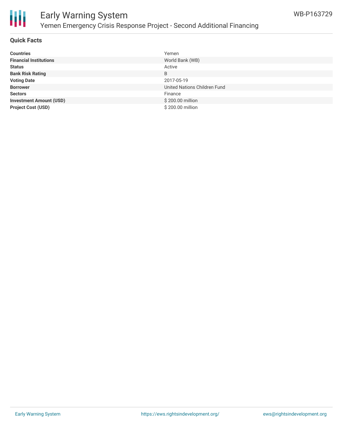



# Early Warning System Yemen Emergency Crisis Response Project - Second Additional Financing

### **Quick Facts**

| <b>Countries</b>               | Yemen                        |
|--------------------------------|------------------------------|
| <b>Financial Institutions</b>  | World Bank (WB)              |
| <b>Status</b>                  | Active                       |
| <b>Bank Risk Rating</b>        | B                            |
| <b>Voting Date</b>             | 2017-05-19                   |
| <b>Borrower</b>                | United Nations Children Fund |
| <b>Sectors</b>                 | Finance                      |
| <b>Investment Amount (USD)</b> | \$200.00 million             |
| <b>Project Cost (USD)</b>      | \$200.00 million             |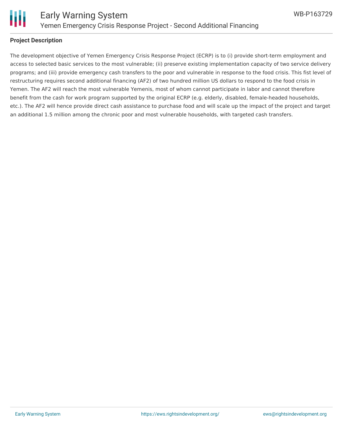

#### **Project Description**

The development objective of Yemen Emergency Crisis Response Project (ECRP) is to (i) provide short-term employment and access to selected basic services to the most vulnerable; (ii) preserve existing implementation capacity of two service delivery programs; and (iii) provide emergency cash transfers to the poor and vulnerable in response to the food crisis. This fist level of restructuring requires second additional financing (AF2) of two hundred million US dollars to respond to the food crisis in Yemen. The AF2 will reach the most vulnerable Yemenis, most of whom cannot participate in labor and cannot therefore benefit from the cash for work program supported by the original ECRP (e.g. elderly, disabled, female-headed households, etc.). The AF2 will hence provide direct cash assistance to purchase food and will scale up the impact of the project and target an additional 1.5 million among the chronic poor and most vulnerable households, with targeted cash transfers.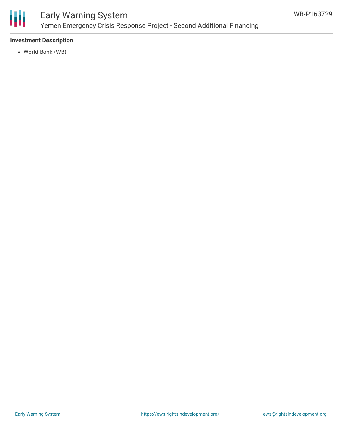

## Early Warning System Yemen Emergency Crisis Response Project - Second Additional Financing

## **Investment Description**

World Bank (WB)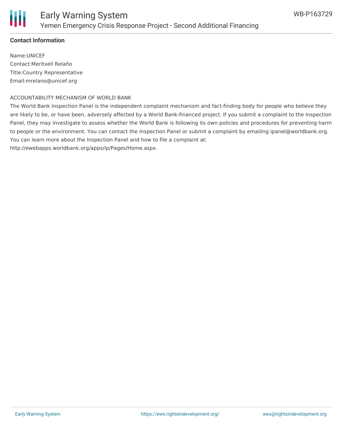

### **Contact Information**

Name:UNICEF Contact:Meritxell Relaño Title:Country Representative Email:mrelano@unicef.org

#### ACCOUNTABILITY MECHANISM OF WORLD BANK

The World Bank Inspection Panel is the independent complaint mechanism and fact-finding body for people who believe they are likely to be, or have been, adversely affected by a World Bank-financed project. If you submit a complaint to the Inspection Panel, they may investigate to assess whether the World Bank is following its own policies and procedures for preventing harm to people or the environment. You can contact the Inspection Panel or submit a complaint by emailing ipanel@worldbank.org. You can learn more about the Inspection Panel and how to file a complaint at: http://ewebapps.worldbank.org/apps/ip/Pages/Home.aspx.